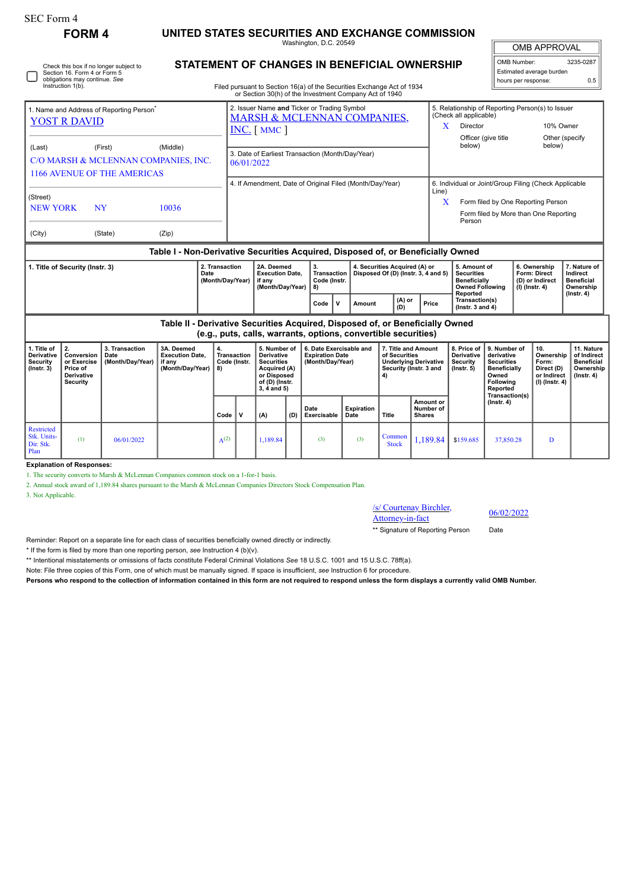| <b>SEC Form 4</b>                                                                                                                                                                   | <b>FORM4</b>                                                          |                                            | UNITED STATES SECURITIES AND EXCHANGE COMMISSION                   |                                                |                                                                                                                            |                                                                                                                            |     |                                                                                                                                                                                                            |                           |                                            |                                                                                                |                                                                                                                                                   |                                                                                                                 |  |                                                                          |                                                                                 |
|-------------------------------------------------------------------------------------------------------------------------------------------------------------------------------------|-----------------------------------------------------------------------|--------------------------------------------|--------------------------------------------------------------------|------------------------------------------------|----------------------------------------------------------------------------------------------------------------------------|----------------------------------------------------------------------------------------------------------------------------|-----|------------------------------------------------------------------------------------------------------------------------------------------------------------------------------------------------------------|---------------------------|--------------------------------------------|------------------------------------------------------------------------------------------------|---------------------------------------------------------------------------------------------------------------------------------------------------|-----------------------------------------------------------------------------------------------------------------|--|--------------------------------------------------------------------------|---------------------------------------------------------------------------------|
|                                                                                                                                                                                     |                                                                       |                                            |                                                                    |                                                | Washington, D.C. 20549                                                                                                     |                                                                                                                            |     |                                                                                                                                                                                                            | <b>OMB APPROVAL</b>       |                                            |                                                                                                |                                                                                                                                                   |                                                                                                                 |  |                                                                          |                                                                                 |
| <b>STATEMENT OF CHANGES IN BENEFICIAL OWNERSHIP</b><br>Check this box if no longer subject to<br>Section 16. Form 4 or Form 5<br>obligations may continue. See<br>Instruction 1(b). |                                                                       |                                            |                                                                    |                                                |                                                                                                                            |                                                                                                                            |     | Filed pursuant to Section 16(a) of the Securities Exchange Act of 1934<br>or Section 30(h) of the Investment Company Act of 1940                                                                           |                           |                                            |                                                                                                |                                                                                                                                                   | OMB Number:<br>hours per response:                                                                              |  | Estimated average burden                                                 | 3235-0287<br>0.5                                                                |
| 1. Name and Address of Reporting Person<br><b>YOST R DAVID</b>                                                                                                                      |                                                                       |                                            |                                                                    |                                                | 2. Issuer Name and Ticker or Trading Symbol<br><b>MARSH &amp; MCLENNAN COMPANIES.</b><br>$INC.$ [ MMC ]                    |                                                                                                                            |     |                                                                                                                                                                                                            |                           |                                            |                                                                                                | 5. Relationship of Reporting Person(s) to Issuer<br>(Check all applicable)<br>Director<br>10% Owner<br>X<br>Officer (give title<br>Other (specify |                                                                                                                 |  |                                                                          |                                                                                 |
| (Last)<br>(First)<br>(Middle)<br>C/O MARSH & MCLENNAN COMPANIES, INC.<br><b>1166 AVENUE OF THE AMERICAS</b>                                                                         |                                                                       |                                            |                                                                    |                                                | 3. Date of Earliest Transaction (Month/Day/Year)<br>06/01/2022<br>4. If Amendment, Date of Original Filed (Month/Day/Year) |                                                                                                                            |     |                                                                                                                                                                                                            |                           |                                            |                                                                                                | below)                                                                                                                                            |                                                                                                                 |  | below)                                                                   |                                                                                 |
| (Street)<br><b>NEW YORK</b><br><b>NY</b>                                                                                                                                            |                                                                       |                                            | 10036                                                              |                                                | Line)<br>X                                                                                                                 |                                                                                                                            |     |                                                                                                                                                                                                            |                           |                                            | Person                                                                                         | 6. Individual or Joint/Group Filing (Check Applicable<br>Form filed by One Reporting Person<br>Form filed by More than One Reporting              |                                                                                                                 |  |                                                                          |                                                                                 |
| (City)                                                                                                                                                                              |                                                                       | (State)                                    |                                                                    |                                                |                                                                                                                            |                                                                                                                            |     |                                                                                                                                                                                                            |                           |                                            |                                                                                                |                                                                                                                                                   |                                                                                                                 |  |                                                                          |                                                                                 |
| 2. Transaction<br>1. Title of Security (Instr. 3)<br>Date<br>(Month/Day/Year)                                                                                                       |                                                                       |                                            |                                                                    |                                                | 2A. Deemed<br><b>Execution Date,</b><br>if any<br>(Month/Day/Year)                                                         |                                                                                                                            |     | Table I - Non-Derivative Securities Acquired, Disposed of, or Beneficially Owned<br>4. Securities Acquired (A) or<br>3.<br><b>Transaction</b><br>Disposed Of (D) (Instr. 3, 4 and 5)<br>Code (Instr.<br>8) |                           |                                            | 5. Amount of<br><b>Securities</b><br><b>Beneficially</b><br><b>Owned Following</b><br>Reported |                                                                                                                                                   | 6. Ownership<br>Form: Direct<br>(D) or Indirect<br>(I) (Instr. 4)                                               |  | 7. Nature of<br>Indirect<br><b>Beneficial</b><br>Ownership               |                                                                                 |
|                                                                                                                                                                                     |                                                                       |                                            |                                                                    |                                                |                                                                                                                            |                                                                                                                            |     | $\mathsf{v}$<br>Code                                                                                                                                                                                       | Amount                    | (A) or<br>(D)                              | Price                                                                                          | Transaction(s)<br>( $lnstr. 3 and 4$ )                                                                                                            |                                                                                                                 |  |                                                                          | $($ Instr. 4 $)$                                                                |
| Table II - Derivative Securities Acquired, Disposed of, or Beneficially Owned<br>(e.g., puts, calls, warrants, options, convertible securities)                                     |                                                                       |                                            |                                                                    |                                                |                                                                                                                            |                                                                                                                            |     |                                                                                                                                                                                                            |                           |                                            |                                                                                                |                                                                                                                                                   |                                                                                                                 |  |                                                                          |                                                                                 |
| 1. Title of<br><b>Derivative</b><br>Security<br>$($ Instr. 3 $)$                                                                                                                    | 2.<br>Conversion<br>or Exercise<br>Price of<br>Derivative<br>Security | 3. Transaction<br>Date<br>(Month/Day/Year) | 3A. Deemed<br><b>Execution Date.</b><br>if any<br>(Month/Day/Year) | 4.<br><b>Transaction</b><br>Code (Instr.<br>8) |                                                                                                                            | 5. Number of<br><b>Derivative</b><br><b>Securities</b><br>Acquired (A)<br>or Disposed<br>of (D) (Instr.<br>$3, 4$ and $5)$ |     | 6. Date Exercisable and<br><b>Expiration Date</b><br>(Month/Day/Year)                                                                                                                                      |                           | 7. Title and Amount<br>of Securities<br>4) | <b>Underlying Derivative</b><br>Security (Instr. 3 and                                         | 8. Price of<br>Derivative<br><b>Security</b><br>$($ lnstr. 5 $)$                                                                                  | 9. Number of<br>derivative<br><b>Securities</b><br><b>Beneficially</b><br>Owned<br><b>Following</b><br>Reported |  | 10.<br>Ownership<br>Form:<br>Direct (D)<br>or Indirect<br>(I) (Instr. 4) | 11. Nature<br>of Indirect<br><b>Beneficial</b><br>Ownership<br>$($ lnstr. 4 $)$ |
|                                                                                                                                                                                     |                                                                       |                                            |                                                                    | Code                                           | v                                                                                                                          | (A)                                                                                                                        | (D) | Date<br>Exercisable                                                                                                                                                                                        | <b>Expiration</b><br>Date | <b>Title</b>                               | Amount or<br>Number of<br><b>Shares</b>                                                        |                                                                                                                                                   | Transaction(s)<br>$($ Instr. 4 $)$                                                                              |  |                                                                          |                                                                                 |
| <b>Restricted</b><br>Stk. Units-<br>Dir. Stk.<br>Plan                                                                                                                               | (1)                                                                   | 06/01/2022                                 |                                                                    | $A^{(2)}$                                      |                                                                                                                            | 1,189.84                                                                                                                   |     | (3)                                                                                                                                                                                                        | (3)                       | Common<br><b>Stock</b>                     | 1.189.84                                                                                       | \$159.685                                                                                                                                         | 37,850.28                                                                                                       |  | D                                                                        |                                                                                 |

**Explanation of Responses:**

1. The security converts to Marsh & McLennan Companies common stock on a 1-for-1 basis.

2. Annual stock award of 1,189.84 shares pursuant to the Marsh & McLennan Companies Directors Stock Compensation Plan.

3. Not Applicable.

/s/ Courtenay Birchler,  $\frac{\text{S} \cdot \text{C} \cdot \text{C} \cdot \text{C} \cdot \text{C} \cdot \text{C} \cdot \text{C}}{ \text{Attorney-in-factor}}$  06/02/2022

\*\* Signature of Reporting Person Date

Reminder: Report on a separate line for each class of securities beneficially owned directly or indirectly.

\* If the form is filed by more than one reporting person, *see* Instruction 4 (b)(v).

\*\* Intentional misstatements or omissions of facts constitute Federal Criminal Violations *See* 18 U.S.C. 1001 and 15 U.S.C. 78ff(a).

Note: File three copies of this Form, one of which must be manually signed. If space is insufficient, *see* Instruction 6 for procedure.

**Persons who respond to the collection of information contained in this form are not required to respond unless the form displays a currently valid OMB Number.**